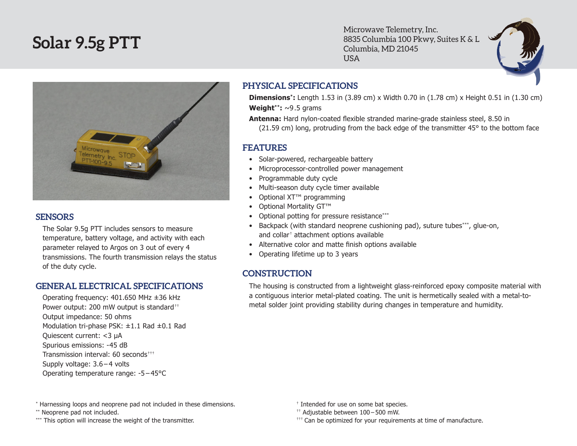# **Solar 9.5g PTT**

Microwave Telemetry, Inc. 8835 Columbia 100 Pkwy, Suites K & L Columbia, MD 21045 USA



#### **SENSORS**

The Solar 9.5g PTT includes sensors to measure temperature, battery voltage, and activity with each parameter relayed to Argos on 3 out of every 4 transmissions. The fourth transmission relays the status of the duty cycle.

#### **GENERAL ELECTRICAL SPECIFICATIONS**

Operating frequency: 401.650 MHz ±36 kHz Power output: 200 mW output is standard<sup>++</sup> Output impedance: 50 ohms Modulation tri-phase PSK: ±1.1 Rad ±0.1 Rad Quiescent current: <3 µA Spurious emissions: -45 dB Transmission interval: 60 seconds††† Supply voltage: 3.6 – 4 volts Operating temperature range: -5 – 45°C

## **PHYSICAL SPECIFICATIONS**

**Dimensions\*:** Length 1.53 in (3.89 cm) x Width 0.70 in (1.78 cm) x Height 0.51 in (1.30 cm) **Weight\*\*:** ~9 .5 grams

**Antenna:** Hard nylon-coated flexible stranded marine-grade stainless steel, 8.50 in (21.59 cm) long, protruding from the back edge of the transmitter 45° to the bottom face

### **FEATURES**

- Solar-powered, rechargeable battery
- Microprocessor-controlled power management
- • Programmable duty cycle
- Multi-season duty cycle timer available
- Optional XT<sup>™</sup> programming
- Optional Mortality GT™
- Optional potting for pressure resistance\*\*\*
- Backpack (with standard neoprene cushioning pad), suture tubes\*\*\*, glue-on, and collar† attachment options available
- Alternative color and matte finish options available
- Operating lifetime up to 3 years

## **CONSTRUCTION**

The housing is constructed from a lightweight glass-reinforced epoxy composite material with a contiguous interior metal-plated coating. The unit is hermetically sealed with a metal-tometal solder joint providing stability during changes in temperature and humidity.

- \* Harnessing loops and neoprene pad not included in these dimensions.
- \*\* Neoprene pad not included.
- \*\*\* This option will increase the weight of the transmitter.
- † Intended for use on some bat species.
- †† Adjustable between 100 500 mW.
- $^{++}$  Can be optimized for your requirements at time of manufacture.